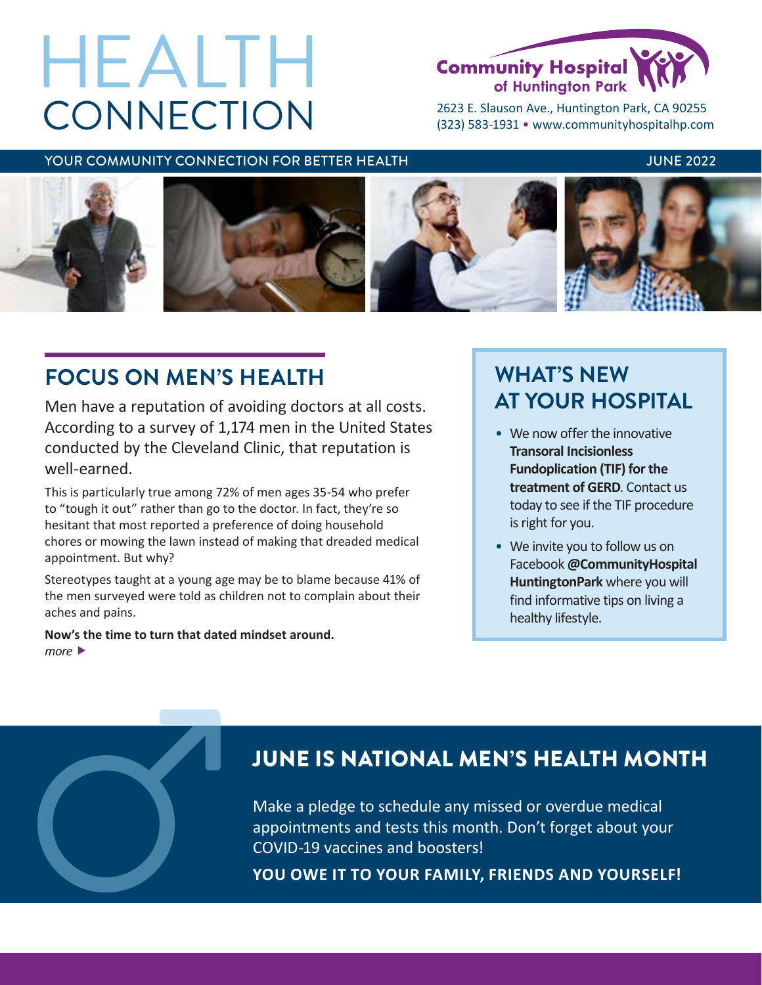# **CONNECTION** HEALTH



2623 E. Slauson Ave., Huntington Park, CA 90255 (323) 583-1931 • [www.communityhospitalhp.com](http://www.communityhospitalhp.com)

### YOUR COMMUNITY CONNECTION FOR BETTER HEALTH THE SAME AND THE 2022 INNERGALISM.



# **FOCUS ON MEN'S HEALTH**

Men have a reputation of avoiding doctors at all costs. According to a survey of 1,174 men in the United States conducted by the Cleveland Clinic, that reputation is well-earned.

This is particularly true among 72% of men ages 35-54 who prefer to "tough it out" rather than go to the doctor. In fact, they're so hesitant that most reported a preference of doing household chores or mowing the lawn instead of making that dreaded medical appointment. But why?

Stereotypes taught at a young age may be to blame because 41% of the men surveyed were told as children not to complain about their aches and pains.

**Now's the time to turn that dated mindset around.** *more* 

# **WHAT'S NEW AT YOUR HOSPITAL**

- We now offer the innovative **Transoral Incisionless Fundoplication (TIF) for the treatment of GERD**. Contact us today to see if the TIF procedure is right for you.
- We invite you to follow us on Facebook **@CommunityHospital HuntingtonPark** where you will find informative tips on living a healthy lifestyle.

## JUNE IS NATIONAL MEN'S HEALTH MONTH

Make a pledge to schedule any missed or overdue medical appointments and tests this month. Don't forget about your JUNE IS NATIONAL MEN'S HEALTH MON<sup>W</sup><br>Make a pledge to schedule any missed or overdue medical<br>appointments and tests this month. Don't forget about your<br>COVID-19 vaccines and boosters!<br>YOU OWE IT TO YOUR FAMILY, FRIENDS AND